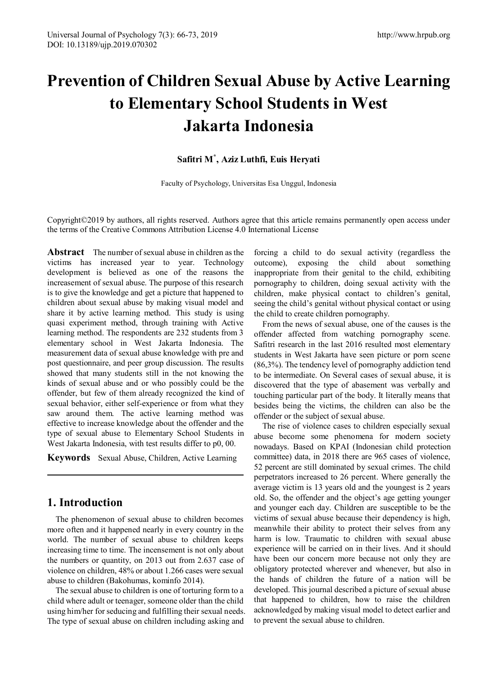# **Prevention of Children Sexual Abuse by Active Learning to Elementary School Students in West Jakarta Indonesia**

## **Safitri M\* , Aziz Luthfi, Euis Heryati**

[Faculty of Psychology,](mailto:safitri@esaunggul.ac.id) [Universitas Esa Unggul, Indo](mailto:aziz.luthfi@esaunggul.ac.id)nesia

Copyright©2019 by authors, all rights reserved. Authors agree that this article remains permanently open access under the terms of the Creative Commons Attribution License 4.0 International License

**Abstract** The number of sexual abuse in children as the victims has increased year to year. Technology development is believed as one of the reasons the increasement of sexual abuse. The purpose of this research is to give the knowledge and get a picture that happened to children about sexual abuse by making visual model and share it by active learning method. This study is using quasi experiment method, through training with Active learning method. The respondents are 232 students from 3 elementary school in West Jakarta Indonesia. The measurement data of sexual abuse knowledge with pre and post questionnaire, and peer group discussion. The results showed that many students still in the not knowing the kinds of sexual abuse and or who possibly could be the offender, but few of them already recognized the kind of sexual behavior, either self-experience or from what they saw around them. The active learning method was effective to increase knowledge about the offender and the type of sexual abuse to Elementary School Students in West Jakarta Indonesia, with test results differ to p0, 00.

**Keywords** Sexual Abuse, Children, Active Learning

# **1. Introduction**

The phenomenon of sexual abuse to children becomes more often and it happened nearly in every country in the world. The number of sexual abuse to children keeps increasing time to time. The incensement is not only about the numbers or quantity, on 2013 out from 2.637 case of violence on children, 48% or about 1.266 cases were sexual abuse to children (Bakohumas, kominfo 2014).

The sexual abuse to children is one of torturing form to a child where adult or teenager, someone older than the child using him/her for seducing and fulfilling their sexual needs. The type of sexual abuse on children including asking and

forcing a child to do sexual activity (regardless the outcome), exposing the child about something inappropriate from their genital to the child, exhibiting pornography to children, doing sexual activity with the children, make physical contact to children's genital, seeing the child's genital without physical contact or using the child to create children pornography.

From the news of sexual abuse, one of the causes is the offender affected from watching pornography scene. Safitri research in the last 2016 resulted most elementary students in West Jakarta have seen picture or porn scene (86,3%). The tendency level of pornography addiction tend to be intermediate. On Several cases of sexual abuse, it is discovered that the type of abasement was verbally and touching particular part of the body. It literally means that besides being the victims, the children can also be the offender or the subject of sexual abuse.

The rise of violence cases to children especially sexual abuse become some phenomena for modern society nowadays. Based on KPAI (Indonesian child protection committee) data, in 2018 there are 965 cases of violence, 52 percent are still dominated by sexual crimes. The child perpetrators increased to 26 percent. Where generally the average victim is 13 years old and the youngest is 2 years old. So, the offender and the object's age getting younger and younger each day. Children are susceptible to be the victims of sexual abuse because their dependency is high, meanwhile their ability to protect their selves from any harm is low. Traumatic to children with sexual abuse experience will be carried on in their lives. And it should have been our concern more because not only they are obligatory protected wherever and whenever, but also in the hands of children the future of a nation will be developed. This journal described a picture of sexual abuse that happened to children, how to raise the children acknowledged by making visual model to detect earlier and to prevent the sexual abuse to children.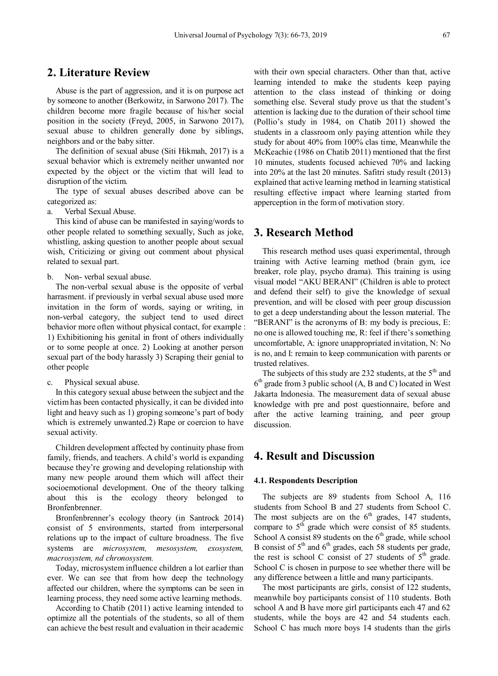# **2. Literature Review**

Abuse is the part of aggression, and it is on purpose act by someone to another (Berkowitz, in Sarwono 2017). The children become more fragile because of his/her social position in the society (Freyd, 2005, in Sarwono 2017), sexual abuse to children generally done by siblings, neighbors and or the baby sitter.

The definition of sexual abuse (Siti Hikmah, 2017) is a sexual behavior which is extremely neither unwanted nor expected by the object or the victim that will lead to disruption of the victim.

The type of sexual abuses described above can be categorized as:

a. Verbal Sexual Abuse.

This kind of abuse can be manifested in saying/words to other people related to something sexually, Such as joke, whistling, asking question to another people about sexual wish, Criticizing or giving out comment about physical related to sexual part.

b. Non- verbal sexual abuse.

The non-verbal sexual abuse is the opposite of verbal harrasment. if previously in verbal sexual abuse used more invitation in the form of words, saying or writing, in non-verbal category, the subject tend to used direct behavior more often without physical contact, for example : 1) Exhibitioning his genital in front of others individually or to some people at once. 2) Looking at another person sexual part of the body harassly 3) Scraping their genial to other people

c. Physical sexual abuse.

In this category sexual abuse between the subject and the victim has been contacted physically, it can be divided into light and heavy such as 1) groping someone's part of body which is extremely unwanted.2) Rape or coercion to have sexual activity.

Children development affected by continuity phase from family, friends, and teachers. A child's world is expanding because they're growing and developing relationship with many new people around them which will affect their socioemotional development. One of the theory talking about this is the ecology theory belonged to Bronfenbrenner.

Bronfenbrenner's ecology theory (in Santrock 2014) consist of 5 environments, started from interpersonal relations up to the impact of culture broadness. The five systems are *microsystem, mesosystem, exosystem, macrosystem, nd chronosystem.*

Today, microsystem influence children a lot earlier than ever. We can see that from how deep the technology affected our children, where the symptoms can be seen in learning process, they need some active learning methods.

According to Chatib (2011) active learning intended to optimize all the potentials of the students, so all of them can achieve the best result and evaluation in their academic with their own special characters. Other than that, active learning intended to make the students keep paying attention to the class instead of thinking or doing something else. Several study prove us that the student's attention is lacking due to the duration of their school time (Pollio's study in 1984, on Chatib 2011) showed the students in a classroom only paying attention while they study for about 40% from 100% clas time, Meanwhile the McKeachie (1986 on Chatib 2011) mentioned that the first 10 minutes, students focused achieved 70% and lacking into 20% at the last 20 minutes. Safitri study result (2013) explained that active learning method in learning statistical resulting effective impact where learning started from apperception in the form of motivation story.

# **3. Research Method**

This research method uses quasi experimental, through training with Active learning method (brain gym, ice breaker, role play, psycho drama). This training is using visual model "AKU BERANI" (Children is able to protect and defend their self) to give the knowledge of sexual prevention, and will be closed with peer group discussion to get a deep understanding about the lesson material. The "BERANI" is the acronyms of B: my body is precious, E: no one is allowed touching me, R: feel if there's something uncomfortable, A: ignore unappropriated invitation, N: No is no, and I: remain to keep communication with parents or trusted relatives.

The subjects of this study are 232 students, at the  $5<sup>th</sup>$  and  $6<sup>th</sup>$  grade from 3 public school (A, B and C) located in West Jakarta Indonesia. The measurement data of sexual abuse knowledge with pre and post questionnaire, before and after the active learning training, and peer group discussion.

## **4. Result and Discussion**

## **4.1. Respondents Description**

The subjects are 89 students from School A, 116 students from School B and 27 students from School C. The most subjects are on the  $6<sup>th</sup>$  grades, 147 students, compare to 5<sup>th</sup> grade which were consist of 85 students. School A consist 89 students on the  $6<sup>th</sup>$  grade, while school B consist of  $5<sup>th</sup>$  and  $6<sup>th</sup>$  grades, each 58 students per grade, the rest is school C consist of 27 students of  $5<sup>th</sup>$  grade. School C is chosen in purpose to see whether there will be any difference between a little and many participants.

The most participants are girls, consist of 122 students, meanwhile boy participants consist of 110 students. Both school A and B have more girl participants each 47 and 62 students, while the boys are 42 and 54 students each. School C has much more boys 14 students than the girls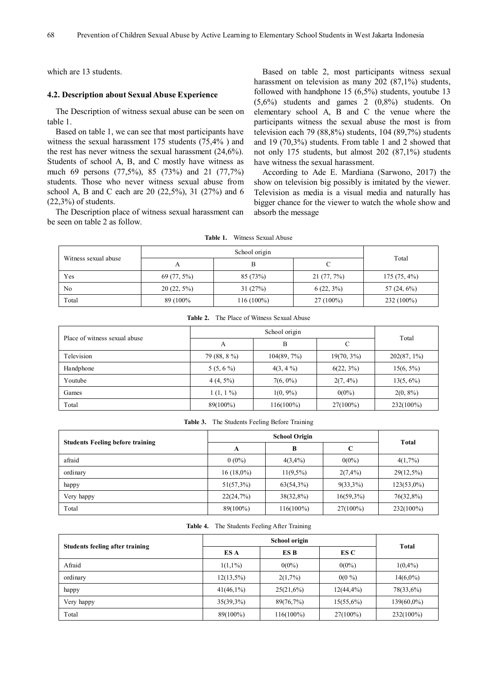which are 13 students.

#### **4.2. Description about Sexual Abuse Experience**

The Description of witness sexual abuse can be seen on table 1.

Based on table 1, we can see that most participants have witness the sexual harassment 175 students (75,4% ) and the rest has never witness the sexual harassment (24,6%). Students of school A, B, and C mostly have witness as much 69 persons (77,5%), 85 (73%) and 21 (77,7%) students. Those who never witness sexual abuse from school A, B and C each are 20 (22,5%), 31 (27%) and 6  $(22,3\%)$  of students.

The Description place of witness sexual harassment can be seen on table 2 as follow.

Based on table 2, most participants witness sexual harassment on television as many 202 (87,1%) students, followed with handphone 15 (6,5%) students, youtube 13 (5,6%) students and games 2 (0,8%) students. On elementary school A, B and C the venue where the participants witness the sexual abuse the most is from television each 79 (88,8%) students, 104 (89,7%) students and 19 (70,3%) students. From table 1 and 2 showed that not only 175 students, but almost 202 (87,1%) students have witness the sexual harassment.

According to Ade E. Mardiana (Sarwono, 2017) the show on television big possibly is imitated by the viewer. Television as media is a visual media and naturally has bigger chance for the viewer to watch the whole show and absorb the message

| Witness sexual abuse |               |              |               |                |
|----------------------|---------------|--------------|---------------|----------------|
|                      |               | в            |               | Total          |
| Yes                  | 69 (77, 5%)   | 85 (73%)     | $21(77, 7\%)$ | $175(75, 4\%)$ |
| N <sub>0</sub>       | $20(22, 5\%)$ | 31(27%)      | $6(22, 3\%)$  | 57 $(24, 6\%)$ |
| Total                | 89 (100%)     | $116(100\%)$ | $27(100\%)$   | 232 (100%)     |

**Table 1.** Witness Sexual Abuse

| The Place of Witness Sexual Abuse<br>Table 2. |              |                |               |                |  |  |  |
|-----------------------------------------------|--------------|----------------|---------------|----------------|--|--|--|
| Place of witness sexual abuse                 |              |                |               |                |  |  |  |
|                                               | А            | B              |               | Total          |  |  |  |
| Television                                    | 79 (88, 8 %) | $104(89, 7\%)$ | $19(70, 3\%)$ | $202(87, 1\%)$ |  |  |  |
| Handphone                                     | $5(5, 6\%)$  | $4(3, 4\%)$    | $6(22, 3\%)$  | $15(6, 5\%)$   |  |  |  |
| Youtube                                       | $4(4, 5\%)$  | $7(6, 0\%)$    | $2(7, 4\%)$   | $13(5, 6\%)$   |  |  |  |
| Games                                         | $1(1, 1\%)$  | $1(0, 9\%)$    | $0(0\%)$      | $2(0, 8\%)$    |  |  |  |
| Total                                         | 89(100%)     | $116(100\%)$   | $27(100\%)$   | 232(100%)      |  |  |  |

|  | <b>Table 3.</b> The Students Feeling Before Training |  |  |  |
|--|------------------------------------------------------|--|--|--|
|--|------------------------------------------------------|--|--|--|

| <b>Students Feeling before training</b> | B<br>A       |              | C            | Total         |  |
|-----------------------------------------|--------------|--------------|--------------|---------------|--|
| afraid                                  | $0(0\%)$     | $4(3,4\%)$   | $0(0\%)$     | $4(1,7\%)$    |  |
| ordinary                                | $16(18.0\%)$ | $11(9.5\%)$  | $2(7,4\%)$   | $29(12,5\%)$  |  |
| happy                                   | $51(57,3\%)$ | $63(54,3\%)$ | $9(33,3\%)$  | $123(53,0\%)$ |  |
| Very happy                              | 22(24,7%)    | $38(32,8\%)$ | $16(59,3\%)$ | 76(32,8%)     |  |
| Total                                   | 89(100%)     | $116(100\%)$ | $27(100\%)$  | $232(100\%)$  |  |

#### **Table 4.** The Students Feeling After Training

| <b>Students feeling after training</b> | ES A         | ES B         | ES C          | Total         |
|----------------------------------------|--------------|--------------|---------------|---------------|
| Afraid                                 | $1(1,1\%)$   | $0(0\%)$     | $0(0\%)$      | $1(0,4\%)$    |
| ordinary                               | $12(13,5\%)$ | $2(1,7\%)$   | $0(0\%)$      | $14(6,0\%)$   |
| happy                                  | $41(46,1\%)$ | $25(21,6\%)$ | $12(44, 4\%)$ | 78(33,6%)     |
| Very happy                             | $35(39,3\%)$ | 89(76,7%)    | $15(55,6\%)$  | $139(60,0\%)$ |
| Total                                  | 89(100%)     | $116(100\%)$ | $27(100\%)$   | 232(100%)     |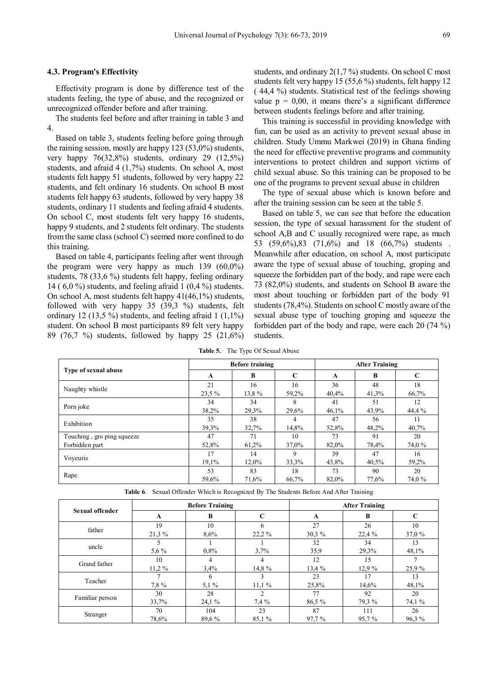## **4.3. Program's Effectivity**

Effectivity program is done by difference test of the students feeling, the type of abuse, and the recognized or unrecognized offender before and after training.

The students feel before and after training in table 3 and 4.

Based on table 3, students feeling before going through the raining session, mostly are happy 123 (53,0%) students, very happy 76(32,8%) students, ordinary 29 (12,5%) students, and afraid 4 (1,7%) students. On school A, most students felt happy 51 students, followed by very happy 22 students, and felt ordinary 16 students. On school B most students felt happy 63 students, followed by very happy 38 students, ordinary 11 students and feeling afraid 4 students. On school C, most students felt very happy 16 students, happy 9 students, and 2 students felt ordinary. The students from the same class (school C) seemed more confined to do this training.

Based on table 4, participants feeling after went through the program were very happy as much 139 (60,0%) students, 78 (33,6 %) students felt happy, feeling ordinary 14 ( 6,0 %) students, and feeling afraid 1 (0,4 %) students. On school A, most students felt happy 41(46,1%) students, followed with very happy 35 (39,3 %) students, felt ordinary 12 (13,5 %) students, and feeling afraid  $1(1,1\%)$ student. On school B most participants 89 felt very happy 89 (76,7 %) students, followed by happy 25 (21,6%) students, and ordinary 2(1,7 %) students. On school C most students felt very happy 15 (55,6 %) students, felt happy 12 ( 44,4 %) students. Statistical test of the feelings showing value  $p = 0.00$ , it means there's a significant difference between students feelings before and after training.

This training is successful in providing knowledge with fun, can be used as an activity to prevent sexual abuse in children. Study Ummu Markwei (2019) in Ghana finding the need for effective preventive programs and community interventions to protect children and support victims of child sexual abuse. So this training can be proposed to be one of the programs to prevent sexual abuse in children

The type of sexual abuse which is known before and after the training session can be seen at the table 5.

Based on table 5, we can see that before the education session, the type of sexual harassment for the student of school A,B and C usually recognized were rape, as much 53 (59,6%),83 (71,6%) and 18 (66,7%) students . Meanwhile after education, on school A, most participate aware the type of sexual abuse of touching, groping and squeeze the forbidden part of the body, and rape were each 73 (82,0%) students, and students on School B aware the most about touching or forbidden part of the body 91 students (78,4%). Students on school C mostly aware of the sexual abuse type of touching groping and squeeze the forbidden part of the body and rape, were each 20 (74 %) students.

|                            | <b>Before training</b> |       |             | <b>After Training</b> |       |             |
|----------------------------|------------------------|-------|-------------|-----------------------|-------|-------------|
| Type of sexual abuse       | A                      | B     | C           | A                     | B     | $\mathbf C$ |
| Naughty whistle            | 21                     | 16    | 16          | 36                    | 48    | 18          |
|                            | 23.5 %                 | 13.8% | 59,2%       | 40.4%                 | 41,3% | 66,7%       |
| Porn joke                  | 34                     | 34    | 8           | 41                    | 51    | 12          |
|                            | 38.2%                  | 29,3% | 29,6%       | 46,1%                 | 43,9% | 44,4 %      |
| Exhibition                 | 35                     | 38    | 4           | 47                    | 56    | 11          |
|                            | 39.3%                  | 32,7% | 14,8%       | 52,8%                 | 48,2% | 40,7%       |
| Touching, gro ping squeeze | 47                     | 71    | 10          | 73                    | 91    | 20          |
| Forbidden part             | 52,8%                  | 61,2% | 37,0%       | 82,0%                 | 78,4% | 74,0 %      |
|                            | 17                     | 14    | $\mathbf Q$ | 39                    | 47    | 16          |
| Voyeuris                   | 19,1%                  | 12,0% | 33,3%       | 43,8%                 | 40,5% | 59,2%       |
|                            | 53                     | 83    | 18          | 73                    | 90    | 20          |
| Rape                       | 59,6%                  | 71,6% | 66,7%       | 82,0%                 | 77,6% | 74,0 %      |

**Table 5.** The Type Of Sexual Abuse

**Table 6**. Sexual Offender Which is Recognized By The Students Before And After Training

| Sexual offender | <b>Before Training</b> |         |                | <b>After Training</b> |        |        |
|-----------------|------------------------|---------|----------------|-----------------------|--------|--------|
|                 | A                      | B       | $\mathbf C$    | A                     | B      | C      |
| father          | 19                     | 10      | 6              | 27                    | 26     | 10     |
|                 | 21.3%                  | 8.6%    | $22.2\%$       | 30.3 %                | 22.4%  | 37,0 % |
|                 |                        |         |                | 32                    | 34     | 13     |
| uncle           | $5.6\%$                | $0.8\%$ | 3.7%           | 35,9                  | 29,3%  | 48,1%  |
| Grand father    | 10                     | 4       | 4              | 12                    | 15     |        |
|                 | $11.2\%$               | 3.4%    | 14,8 %         | 13.4 %                | 12.9%  | 25.9%  |
| Teacher         |                        | 6       |                | 23                    | 17     | 13     |
|                 | 7,8 %                  | $5,1\%$ | 11.1%          | 25,8%                 | 14,6%  | 48,1%  |
| Familiar person | 30                     | 28      | $\overline{c}$ | 77                    | 92     | 20     |
|                 | 33,7%                  | 24,1 %  | $7.4\%$        | 86.5 %                | 79.3 % | 74,1 % |
| Stranger        | 70                     | 104     | 23             | 87                    | 111    | 26     |
|                 | 78,6%                  | 89.6%   | 85,1 %         | 97.7%                 | 95,7%  | 96.3%  |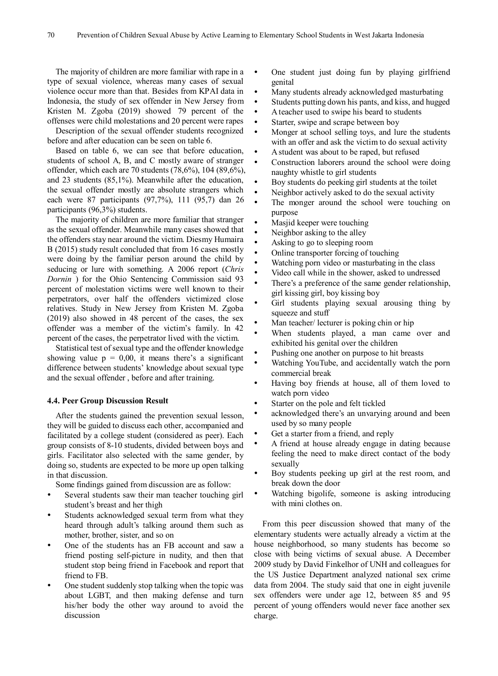The majority of children are more familiar with rape in a type of sexual violence, whereas many cases of sexual violence occur more than that. Besides from KPAI data in Indonesia, the study of sex offender in New Jersey from Kristen M. Zgoba (2019) showed 79 percent of the offenses were child molestations and 20 percent were rapes

Description of the sexual offender students recognized before and after education can be seen on table 6.

Based on table 6, we can see that before education, students of school A, B, and C mostly aware of stranger offender, which each are 70 students (78,6%), 104 (89,6%), and 23 students (85,1%). Meanwhile after the education, the sexual offender mostly are absolute strangers which each were 87 participants (97,7%), 111 (95,7) dan 26 participants (96,3%) students.

The majority of children are more familiar that stranger as the sexual offender. Meanwhile many cases showed that the offenders stay near around the victim. Diesmy Humaira B (2015) study result concluded that from 16 cases mostly were doing by the familiar person around the child by seducing or lure with something. A 2006 report (*Chris Dornin* ) for the Ohio Sentencing Commission said 93 percent of molestation victims were well known to their perpetrators, over half the offenders victimized close relatives. Study in New Jersey from Kristen M. Zgoba (2019) also showed in 48 percent of the cases, the sex offender was a member of the victim's family. In 42 percent of the cases, the perpetrator lived with the victim.

Statistical test of sexual type and the offender knowledge showing value  $p = 0.00$ , it means there's a significant difference between students' knowledge about sexual type and the sexual offender , before and after training.

## **4.4. Peer Group Discussion Result**

After the students gained the prevention sexual lesson, they will be guided to discuss each other, accompanied and facilitated by a college student (considered as peer). Each group consists of 8-10 students, divided between boys and girls. Facilitator also selected with the same gender, by doing so, students are expected to be more up open talking in that discussion.

Some findings gained from discussion are as follow:

- Several students saw their man teacher touching girl student's breast and her thigh
- Students acknowledged sexual term from what they heard through adult's talking around them such as mother, brother, sister, and so on
- One of the students has an FB account and saw a friend posting self-picture in nudity, and then that student stop being friend in Facebook and report that friend to FB.
- One student suddenly stop talking when the topic was about LGBT, and then making defense and turn his/her body the other way around to avoid the discussion
- One student just doing fun by playing girlfriend genital
- Many students already acknowledged masturbating
- Students putting down his pants, and kiss, and hugged
- A teacher used to swipe his beard to students
- Starter, swipe and scrape between boy
- Monger at school selling toys, and lure the students with an offer and ask the victim to do sexual activity
- A student was about to be raped, but refused
- Construction laborers around the school were doing naughty whistle to girl students
- Boy students do peeking girl students at the toilet
- Neighbor actively asked to do the sexual activity
- The monger around the school were touching on purpose
- Masjid keeper were touching
- Neighbor asking to the alley
- Asking to go to sleeping room
- Online transporter forcing of touching
- Watching porn video or masturbating in the class
- Video call while in the shower, asked to undressed
- There's a preference of the same gender relationship, girl kissing girl, boy kissing boy
- Girl students playing sexual arousing thing by squeeze and stuff
- Man teacher/ lecturer is poking chin or hip
- When students played, a man came over and exhibited his genital over the children
- Pushing one another on purpose to hit breasts
- Watching YouTube, and accidentally watch the porn commercial break
- Having boy friends at house, all of them loved to watch porn video
- Starter on the pole and felt tickled
- acknowledged there's an unvarying around and been used by so many people
- Get a starter from a friend, and reply
- A friend at house already engage in dating because feeling the need to make direct contact of the body sexually
- Boy students peeking up girl at the rest room, and break down the door
- Watching bigolife, someone is asking introducing with mini clothes on.

From this peer discussion showed that many of the elementary students were actually already a victim at the house neighborhood, so many students has become so close with being victims of sexual abuse. A December 2009 study by David Finkelhor of UNH and colleagues for the US Justice Department analyzed national sex crime data from 2004. The study said that one in eight juvenile sex offenders were under age 12, between 85 and 95 percent of young offenders would never face another sex charge.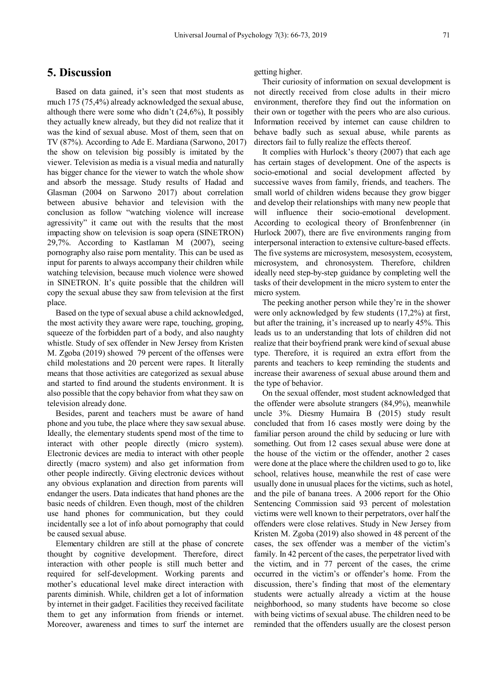# **5. Discussion**

Based on data gained, it's seen that most students as much 175 (75,4%) already acknowledged the sexual abuse, although there were some who didn't  $(24,6\%)$ , It possibly they actually knew already, but they did not realize that it was the kind of sexual abuse. Most of them, seen that on TV (87%). According to Ade E. Mardiana (Sarwono, 2017) the show on television big possibly is imitated by the viewer. Television as media is a visual media and naturally has bigger chance for the viewer to watch the whole show and absorb the message. Study results of Hadad and Glasman (2004 on Sarwono 2017) about correlation between abusive behavior and television with the conclusion as follow "watching violence will increase agressivity" it came out with the results that the most impacting show on television is soap opera (SINETRON) 29,7%. According to Kastlaman M (2007), seeing pornography also raise porn mentality. This can be used as input for parents to always accompany their children while watching television, because much violence were showed in SINETRON. It's quite possible that the children will copy the sexual abuse they saw from television at the first place.

Based on the type of sexual abuse a child acknowledged, the most activity they aware were rape, touching, groping, squeeze of the forbidden part of a body, and also naughty whistle. Study of sex offender in New Jersey from Kristen M. Zgoba (2019) showed 79 percent of the offenses were child molestations and 20 percent were rapes. It literally means that those activities are categorized as sexual abuse and started to find around the students environment. It is also possible that the copy behavior from what they saw on television already done.

Besides, parent and teachers must be aware of hand phone and you tube, the place where they saw sexual abuse. Ideally, the elementary students spend most of the time to interact with other people directly (micro system). Electronic devices are media to interact with other people directly (macro system) and also get information from other people indirectly. Giving electronic devices without any obvious explanation and direction from parents will endanger the users. Data indicates that hand phones are the basic needs of children. Even though, most of the children use hand phones for communication, but they could incidentally see a lot of info about pornography that could be caused sexual abuse.

Elementary children are still at the phase of concrete thought by cognitive development. Therefore, direct interaction with other people is still much better and required for self-development. Working parents and mother's educational level make direct interaction with parents diminish. While, children get a lot of information by internet in their gadget. Facilities they received facilitate them to get any information from friends or internet. Moreover, awareness and times to surf the internet are

getting higher.

Their curiosity of information on sexual development is not directly received from close adults in their micro environment, therefore they find out the information on their own or together with the peers who are also curious. Information received by internet can cause children to behave badly such as sexual abuse, while parents as directors fail to fully realize the effects thereof.

It complies with Hurlock's theory (2007) that each age has certain stages of development. One of the aspects is socio-emotional and social development affected by successive waves from family, friends, and teachers. The small world of children widens because they grow bigger and develop their relationships with many new people that will influence their socio-emotional development. According to ecological theory of Bronfenbrenner (in Hurlock 2007), there are five environments ranging from interpersonal interaction to extensive culture-based effects. The five systems are microsystem, mesosystem, ecosystem, microsystem, and chronosystem. Therefore, children ideally need step-by-step guidance by completing well the tasks of their development in the micro system to enter the micro system.

The peeking another person while they're in the shower were only acknowledged by few students (17,2%) at first, but after the training, it's increased up to nearly 45%. This leads us to an understanding that lots of children did not realize that their boyfriend prank were kind of sexual abuse type. Therefore, it is required an extra effort from the parents and teachers to keep reminding the students and increase their awareness of sexual abuse around them and the type of behavior.

On the sexual offender, most student acknowledged that the offender were absolute strangers (84,9%), meanwhile uncle 3%. Diesmy Humaira B (2015) study result concluded that from 16 cases mostly were doing by the familiar person around the child by seducing or lure with something. Out from 12 cases sexual abuse were done at the house of the victim or the offender, another 2 cases were done at the place where the children used to go to, like school, relatives house, meanwhile the rest of case were usually done in unusual places for the victims, such as hotel, and the pile of banana trees. A 2006 report for the Ohio Sentencing Commission said 93 percent of molestation victims were well known to their perpetrators, over half the offenders were close relatives. Study in New Jersey from Kristen M. Zgoba (2019) also showed in 48 percent of the cases, the sex offender was a member of the victim's family. In 42 percent of the cases, the perpetrator lived with the victim, and in 77 percent of the cases, the crime occurred in the victim's or offender's home. From the discussion, there's finding that most of the elementary students were actually already a victim at the house neighborhood, so many students have become so close with being victims of sexual abuse. The children need to be reminded that the offenders usually are the closest person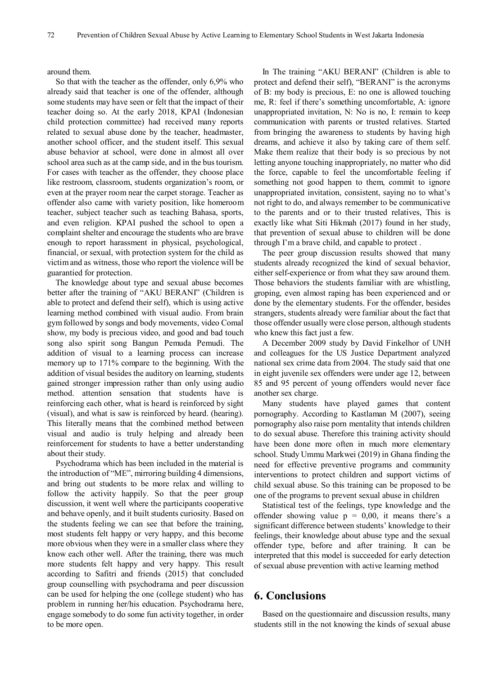around them.

So that with the teacher as the offender, only 6,9% who already said that teacher is one of the offender, although some students may have seen or felt that the impact of their teacher doing so. At the early 2018, KPAI (Indonesian child protection committee) had received many reports related to sexual abuse done by the teacher, headmaster, another school officer, and the student itself. This sexual abuse behavior at school, were done in almost all over school area such as at the camp side, and in the bus tourism. For cases with teacher as the offender, they choose place like restroom, classroom, students organization's room, or even at the prayer room near the carpet storage. Teacher as offender also came with variety position, like homeroom teacher, subject teacher such as teaching Bahasa, sports, and even religion. KPAI pushed the school to open a complaint shelter and encourage the students who are brave enough to report harassment in physical, psychological, financial, or sexual, with protection system for the child as victim and as witness, those who report the violence will be guarantied for protection.

The knowledge about type and sexual abuse becomes better after the training of "AKU BERANI" (Children is able to protect and defend their self), which is using active learning method combined with visual audio. From brain gym followed by songs and body movements, video Comal show, my body is precious video, and good and bad touch song also spirit song Bangun Pemuda Pemudi. The addition of visual to a learning process can increase memory up to 171% compare to the beginning. With the addition of visual besides the auditory on learning, students gained stronger impression rather than only using audio method. attention sensation that students have is reinforcing each other, what is heard is reinforced by sight (visual), and what is saw is reinforced by heard. (hearing). This literally means that the combined method between visual and audio is truly helping and already been reinforcement for students to have a better understanding about their study.

Psychodrama which has been included in the material is the introduction of "ME", mirroring building 4 dimensions, and bring out students to be more relax and willing to follow the activity happily. So that the peer group discussion, it went well where the participants cooperative and behave openly, and it built students curiosity. Based on the students feeling we can see that before the training, most students felt happy or very happy, and this become more obvious when they were in a smaller class where they know each other well. After the training, there was much more students felt happy and very happy. This result according to Safitri and friends (2015) that concluded group counselling with psychodrama and peer discussion can be used for helping the one (college student) who has problem in running her/his education. Psychodrama here, engage somebody to do some fun activity together, in order to be more open.

In The training "AKU BERANI" (Children is able to protect and defend their self), "BERANI" is the acronyms of B: my body is precious, E: no one is allowed touching me, R: feel if there's something uncomfortable, A: ignore unappropriated invitation, N: No is no, I: remain to keep communication with parents or trusted relatives. Started from bringing the awareness to students by having high dreams, and achieve it also by taking care of them self. Make them realize that their body is so precious by not letting anyone touching inappropriately, no matter who did the force, capable to feel the uncomfortable feeling if something not good happen to them, commit to ignore unappropriated invitation, consistent, saying no to what's not right to do, and always remember to be communicative to the parents and or to their trusted relatives, This is exactly like what Siti Hikmah (2017) found in her study, that prevention of sexual abuse to children will be done through I'm a brave child, and capable to protect .

The peer group discussion results showed that many students already recognized the kind of sexual behavior, either self-experience or from what they saw around them. Those behaviors the students familiar with are whistling, groping, even almost raping has been experienced and or done by the elementary students. For the offender, besides strangers, students already were familiar about the fact that those offender usually were close person, although students who knew this fact just a few.

A December 2009 study by David Finkelhor of UNH and colleagues for the US Justice Department analyzed national sex crime data from 2004. The study said that one in eight juvenile sex offenders were under age 12, between 85 and 95 percent of young offenders would never face another sex charge.

Many students have played games that content pornography. According to Kastlaman M (2007), seeing pornography also raise porn mentality that intends children to do sexual abuse. Therefore this training activity should have been done more often in much more elementary school. Study Ummu Markwei (2019) in Ghana finding the need for effective preventive programs and community interventions to protect children and support victims of child sexual abuse. So this training can be proposed to be one of the programs to prevent sexual abuse in children

Statistical test of the feelings, type knowledge and the offender showing value  $p = 0.00$ , it means there's a significant difference between students' knowledge to their feelings, their knowledge about abuse type and the sexual offender type, before and after training. It can be interpreted that this model is succeeded for early detection of sexual abuse prevention with active learning method

## **6. Conclusions**

Based on the questionnaire and discussion results, many students still in the not knowing the kinds of sexual abuse